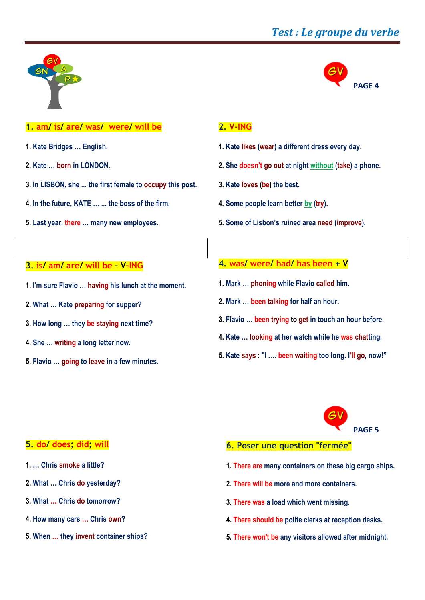# *Test : Le groupe du verbe*

**PAGE 4**



# **1. am/ is/ are/ was/ were/ will be**

- **1. Kate Bridges … English.**
- **2. Kate … born in LONDON.**
- **3. In LISBON, she ... the first female to occupy this post.**
- **4. In the future, KATE … ... the boss of the firm.**
- **5. Last year, there … many new employees.**

## **2. V-ING**

- **1. Kate likes (wear) a different dress every day.**
- **2. She doesn't go out at night without (take) a phone.**
- **3. Kate loves (be) the best.**
- **4. Some people learn better by (try).**
- **5. Some of Lisbon's ruined area need (improve).**

## **3. is/ am/ are/ will be - V-ING**

- **1. I'm sure Flavio … having his lunch at the moment.**
- **2. What … Kate preparing for supper?**
- **3. How long … they be staying next time?**
- **4. She … writing a long letter now.**
- **5. Flavio … going to leave in a few minutes.**

## **4. was/ were/ had/ has been + V**

- **1. Mark … phoning while Flavio called him.**
- **2. Mark … been talking for half an hour.**
- **3. Flavio … been trying to get in touch an hour before.**
- **4. Kate … looking at her watch while he was chatting.**
- **5. Kate says : "I …. been waiting too long. I'll go, now!"**



## **5. do/ does; did; will**

- **1. … Chris smoke a little?**
- **2. What … Chris do yesterday?**
- **3. What … Chris do tomorrow?**
- **4. How many cars … Chris own?**
- **5. When … they invent container ships?**
- **6. Poser une question "fermée"**
- **1. There are many containers on these big cargo ships.**
- **2. There will be more and more containers.**
- **3. There was a load which went missing.**
- **4. There should be polite clerks at reception desks.**
- **5. There won't be any visitors allowed after midnight.**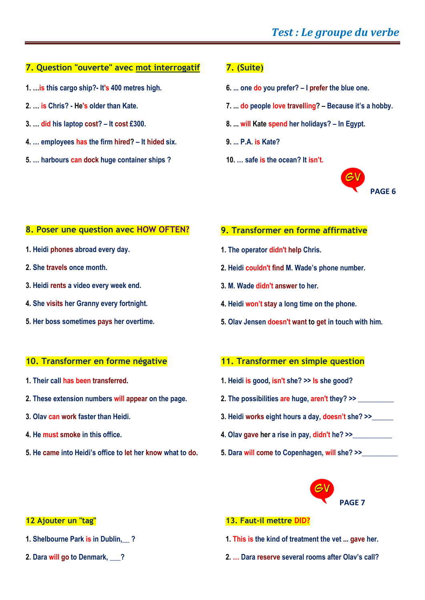## **7. Question "ouverte" avec mot interrogatif**

- **1. …is this cargo ship?- It's 400 metres high.**
- **2. … is Chris? - He's older than Kate.**
- **3. … did his laptop cost? – It cost £300.**
- **4. … employees has the firm hired? – It hided six.**
- **5. … harbours can dock huge container ships ?**

# **7. (Suite)**

- **6. ... one do you prefer? – I prefer the blue one.**
- **7. ... do people love travelling? – Because it's a hobby.**
- **8. ... will Kate spend her holidays? – In Egypt.**
- **9. ... P.A. is Kate?**
- **10. … safe is the ocean? It isn't.**



## **8. Poser une question avec HOW OFTEN?**

- **1. Heidi phones abroad every day.**
- **2. She travels once month.**
- **3. Heidi rents a video every week end.**
- **4. She visits her Granny every fortnight.**
- **5. Her boss sometimes pays her overtime.**

#### **10. Transformer en forme négative**

- **1. Their call has been transferred.**
- **2. These extension numbers will appear on the page.**
- **3. Olav can work faster than Heidi.**
- **4. He must smoke in this office.**
- **5. He came into Heidi's office to let her know what to do.**

## **9. Transformer en forme affirmative**

- **1. The operator didn't help Chris.**
- **2. Heidi couldn't find M. Wade's phone number.**
- **3. M. Wade didn't answer to her.**
- **4. Heidi won't stay a long time on the phone.**
- **5. Olav Jensen doesn't want to get in touch with him.**

## **11. Transformer en simple question**

- **1. Heidi is good, isn't she? >> Is she good?**
- **2. The possibilities are huge, aren't they? >> \_\_\_\_\_\_\_\_\_\_**
- **3. Heidi works eight hours a day, doesn't she? >>\_\_\_\_\_\_**
- **4. Olav gave her a rise in pay, didn't he? >>\_\_\_\_\_\_\_\_\_\_\_**
- **5. Dara will come to Copenhagen, will she? >>\_\_\_\_\_\_\_\_\_\_**



#### **12 Ajouter un "tag"**

- **1. Shelbourne Park is in Dublin,\_\_ ?**
- **2. Dara will go to Denmark, \_\_\_?**

## **13. Faut-il mettre DID?**

- **1. This is the kind of treatment the vet ... gave her.**
- **2. … Dara reserve several rooms after Olav's call?**